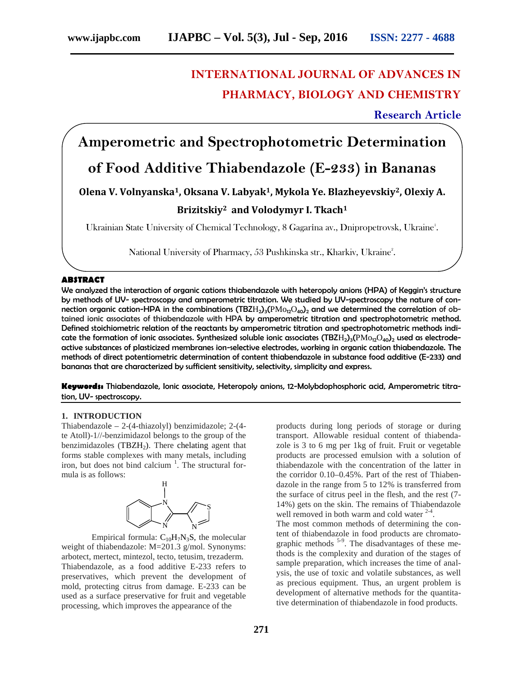# **INTERNATIONAL JOURNAL OF ADVANCES IN PHARMACY, BIOLOGY AND CHEMISTRY**

**Research Article**

**Amperometric and Spectrophotometric Determination**

# **of Food Additive Thiabendazole (E-233) in Bananas**

# **Olena V. Volnyanska1, Oksana V. Labyak1, Mykola Ye. Blazheyevskiy2, Olexiy A.**

# **Brizitskiy<sup>2</sup> and Volodymyr I. Tkach<sup>1</sup>**

Ukrainian State University of Chemical Technology, 8 Gagar na av., Dnipropetrovsk, Ukraine<sup>1</sup>.

National University of Pharmacy, 53 Pushkinska str., Kharkiv, Ukraine<sup>2</sup>.

### **ABSTRACT**

We analyzed the interaction of organic cations thiabendazole with heteropoly anions (HPA) of Keggin's structure by methods of UV- spectroscopy and amperometric titration. We studied by UV-spectroscopy the nature of connection organic cation-HPA in the combinations (TBZ  $_{2}$ )<sub>3</sub>( $_{12}$  <sub>40</sub>)<sub>2</sub> and we determined the correlation of obtained ionic associates of thiabendazole with HPA by amperometric titration and spectrophotometric method. Defined stoichiometric relation of the reactants by amperometric titration and spectrophotometric methods indicate the formation of ionic associates. Synthesized soluble ionic associates (TBZ  $_{2}$ )<sub>3</sub>( $_{12}$  <sub>40</sub>)<sub>2</sub> used as electrodeactive substances of plasticized membranes ion-selective electrodes, working in organic cation thiabendazole. The methods of direct potentiometric determination of content thiabendazole in substance food additive (E-233) and bananas that are characterized by sufficient sensitivity, selectivity, simplicity and express.

**Keywords:** Thiabendazole, Ionic associate, Heteropoly anions, 12-Molybdophosphoric acid, Amperometric titration, UV- spectroscopy.

#### **1. INTRODUCTION**

Thiabendazole – 2-(4-thiazolyl) benzimidazole; 2-(4 te Atoll)-1//-benzimidazol belongs to the group of the benzimidazoles (TBZ $_2$ ). There chelating agent that forms stable complexes with many metals, including iron, but does not bind calcium<sup>1</sup>. The structural formula is as follows:



Empirical formula:  $_{10}$   $_{7}N_{3}S$ , the molecular weight of thiabendazole: M=201.3 g/mol. Synonyms: arbotect, mertect, mintezol, tecto, tetusim, trezaderm. Thiabendazole, as a food additive E-233 refers to preservatives, which prevent the development of mold, protecting citrus from damage. E-233 can be used as a surface preservative for fruit and vegetable processing, which improves the appearance of the

products during long periods of storage or during transport. Allowable residual content of thiabendazole is 3 to 6 mg per 1kg of fruit. Fruit or vegetable products are processed emulsion with a solution of thiabendazole with the concentration of the latter in the corridor 0.10–0.45%. Part of the rest of Thiabendazole in the range from 5 to 12% is transferred from the surface of citrus peel in the flesh, and the rest (7- 14%) gets on the skin. The remains of Thiabendazole well removed in both warm and cold water  $2-4$ .

The most common methods of determining the content of thiabendazole in food products are chromatographic methods <sup>5-9</sup>. The disadvantages of these methods is the complexity and duration of the stages of sample preparation, which increases the time of analysis, the use of toxic and volatile substances, as well as precious equipment. Thus, an urgent problem is development of alternative methods for the quantitative determination of thiabendazole in food products.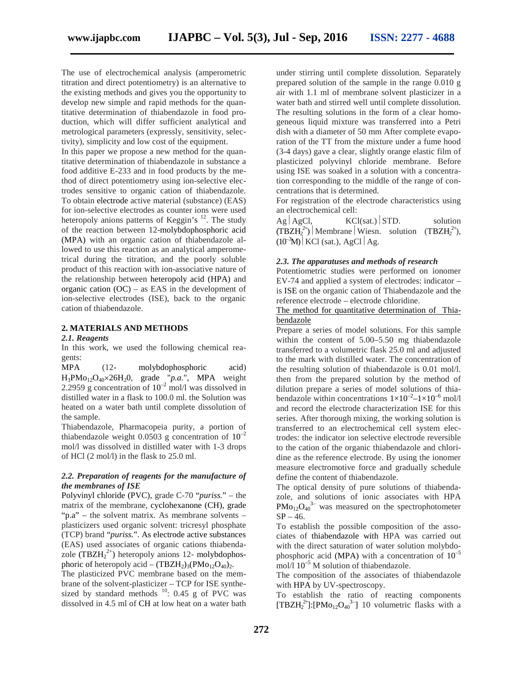The use of electrochemical analysis (amperometric titration and direct potentiometry) is an alternative to the existing methods and gives you the opportunity to develop new simple and rapid methods for the quantitative determination of thiabendazole in food production, which will differ sufficient analytical and metrological parameters (expressly, sensitivity, selectivity), simplicity and low cost of the equipment.

In this paper we propose a new method for the quantitative determination of thiabendazole in substance a food additive E-233 and in food products by the method of direct potentiometry using ion-selective electrodes sensitive to organic cation of thiabendazole. To obtain electrode active material (substance) (EAS) for ion-selective electrodes as counter ions were used heteropoly anions patterns of Keggin's <sup>12</sup>. The study  $Ag \mid AgCl$ , of the reaction between 12-molybdophosphoric acid (MPA) with an organic cation of thiabendazole allowed to use this reaction as an analytical amperometrical during the titration, and the poorly soluble product of this reaction with ion-associative nature of the relationship between heteropoly acid (HPA) and organic cation  $(OC)$  – as EAS in the development of ion-selective electrodes (ISE), back to the organic cation of thiabendazole.

# **2. MATERIALS AND METHODS**

#### *2.1. Reagents*

In this work, we used the following chemical reagents:

PA (12- molybdophosphoric acid)  $3PMo_{12}O_{40} \times 26$   $20$ , grade "*p.a.*", MPA weight 2.2959 g concentration of  $10^{-2}$  mol/l was dissolved in distilled water in a flask to 100.0 ml. the Solution was heated on a water bath until complete dissolution of the sample.

Thiabendazole, Pharmacopeia purity, a portion of thiabendazole weight 0.0503 g concentration of  $10^{-2}$ mol/l was dissolved in distilled water with 1-3 drops of HCl (2 mol/l) in the flask to 25.0 ml.

## *2.2. Preparation of reagents for the manufacture of the membranes of ISE*

Polyvinyl chloride (PVC), grade C-70 "*puriss.*" – the matrix of the membrane, cyclohexanone (CH), grade "p.a" – the solvent matrix. As membrane solvents – plasticizers used organic solvent: tricresyl phosphate (TCP) brand "*puriss.*". As electrode active substances (EAS) used associates of organic cations thiabendazole (TBZ  $2^{2+}$ ) heteropoly anions 12- molybdophosphoric of heteropoly acid –  $(TBZ_{2})_3$ ( $_{12 \t 40})_2$ . The plasticized PVC membrane based on the membrane of the solvent-plasticizer – TCP for ISE synthesized by standard methods  $^{10}$ : 0.45 g of PVC was dissolved in 4.5 ml of CH at low heat on a water bath

under stirring until complete dissolution. Separately prepared solution of the sample in the range 0.010 g air with 1.1 ml of membrane solvent plasticizer in a water bath and stirred well until complete dissolution. The resulting solutions in the form of a clear homogeneous liquid mixture was transferred into a Petri dish with a diameter of 50 mm After complete evaporation of the TT from the mixture under a fume hood (3-4 days) gave a clear, slightly orange elastic film of plasticized polyvinyl chloride membrane. Before using ISE was soaked in a solution with a concentration corresponding to the middle of the range of concentrations that is determined.

For registration of the electrode characteristics using an electrochemical cell:

 $KCl(sat.)$  STD. solution  $(TBZH_2^{2+})$  Membrane Wiesn. solution  $(TBZH_2^{2+})$ ,  $(10^{-3})$  KCl (sat.), AgCl Ag.

# *2.3. The apparatuses and methods of research*

Potentiometric studies were performed on ionomer EV-74 and applied a system of electrodes: indicator – is ISE on the organic cation of Thiabendazole and the reference electrode – electrode chloridine.

## The method for quantitative determination of Thiabendazole

Prepare a series of model solutions. For this sample within the content of 5.00–5.50 mg thiabendazole transferred to a volumetric flask 25.0 ml and adjusted to the mark with distilled water. The concentration of the resulting solution of thiabendazole is 0.01 mol/l. then from the prepared solution by the method of dilution prepare a series of model solutions of thiabendazole within concentrations  $1 \times 10^{-2} - 1 \times 10^{-6}$  mol/l and record the electrode characterization ISE for this series. After thorough mixing, the working solution is transferred to an electrochemical cell system electrodes: the indicator ion selective electrode reversible to the cation of the organic thiabendazole and chloridine as the reference electrode. By using the ionomer measure electromotive force and gradually schedule define the content of thiabendazole.

The optical density of pure solutions of thiabendazole, and solutions of ionic associates with HPA  $12 \t40^3$  was measured on the spectrophotometer  $SP - 46.$ 

To establish the possible composition of the associates of thiabendazole with HPA was carried out with the direct saturation of water solution molybdophosphoric acid (MPA) with a concentration of  $10^{-5}$ mol/l  $10^{-5}$  M solution of thiabendazole.

The composition of the associates of thiabendazole with HPA by UV-spectroscopy.

To establish the ratio of reacting components  $[TBZH<sub>2</sub><sup>2+</sup>]$ :[ <sup>2+</sup>]:[<sub>12 40</sub><sup>3-</sup>] 10 volumetric flasks with a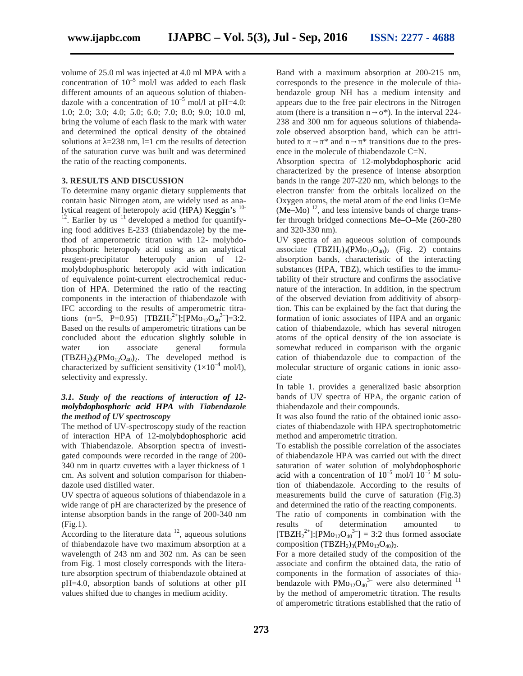volume of 25.0 ml was injected at 4.0 ml MPA with a concentration of  $10^{-5}$  mol/l was added to each flask different amounts of an aqueous solution of thiabendazole with a concentration of  $10^{-5}$  mol/l at pH=4.0: 1.0; 2.0; 3.0; 4.0; 5.0; 6.0; 7.0; 8.0; 9.0; 10.0 ml, bring the volume of each flask to the mark with water and determined the optical density of the obtained solutions at  $=238$  nm, l=1 cm the results of detection buted to of the saturation curve was built and was determined the ratio of the reacting components.

#### **3. RESULTS AND DISCUSSION**

To determine many organic dietary supplements that contain basic Nitrogen atom, are widely used as analytical reagent of heteropoly acid (HPA) Keggin's  $10-12$ . Earlier by us  $11$  developed a method for quantifying food additives E-233 (thiabendazole) by the method of amperometric titration with 12- molybdophosphoric heteropoly acid using as an analytical reagent-precipitator heteropoly anion of 12 molybdophosphoric heteropoly acid with indication of equivalence point-current electrochemical reduction of HPA. Determined the ratio of the reacting components in the interaction of thiabendazole with IFC according to the results of amperometric titrations (n=5, P=0.95) [TBZ  $2^{2+}$ ]:[  $2^+$ ]:[ $\begin{bmatrix} 12 & 40 \\ 12 & 40 \end{bmatrix}$ =3:2. Based on the results of amperometric titrations can be concluded about the education slightly soluble in<br>water ion associate general formula water ion associate general formula  $(TBZ_2)$ <sub>3</sub>( $_{12,40}$ )<sub>2</sub>. The developed method is characterized by sufficient sensitivity  $(1\times10^{-4} \text{ mol/l})$ , selectivity and expressly.

# *3.1. Study of the reactions of interaction of 12 molybdophosphoric acid HPA with Tiabendazole the method of UV spectroscopy*

The method of UV-spectroscopy study of the reaction of interaction HPA of 12-molybdophosphoric acid with Thiabendazole. Absorption spectra of investigated compounds were recorded in the range of 200- 340 nm in quartz cuvettes with a layer thickness of 1 cm. As solvent and solution comparison for thiabendazole used distilled water.

UV spectra of aqueous solutions of thiabendazole in a wide range of pH are characterized by the presence of intense absorption bands in the range of 200-340 nm (Fig.1).

According to the literature data  $12$ , aqueous solutions of thiabendazole have two maximum absorption at a wavelength of 243 nm and 302 nm. As can be seen from Fig. 1 most closely corresponds with the literature absorption spectrum of thiabendazole obtained at pH=4.0, absorption bands of solutions at other pH values shifted due to changes in medium acidity.

Band with a maximum absorption at 200-215 nm, corresponds to the presence in the molecule of thiabendazole group NH has a medium intensity and appears due to the free pair electrons in the Nitrogen atom (there is a transition n \*). In the interval 224- 238 and 300 nm for aqueous solutions of thiabendazole observed absorption band, which can be attri-\* and n \* transitions due to the presence in the molecule of thiabendazole C=N.

Absorption spectra of 12-molybdophosphoric acid characterized by the presence of intense absorption bands in the range 207-220 nm, which belongs to the electron transfer from the orbitals localized on the Oxygen atoms, the metal atom of the end links O=Me  $($  –  $)$  <sup>12</sup>, and less intensive bands of charge transfer through bridged connections  $- - (260-280)$ and 320-330 nm).

UV spectra of an aqueous solution of compounds associate  $(TBZH<sub>2</sub>)<sub>3</sub>(Mo<sub>12</sub>O<sub>40</sub>)<sub>2</sub>$  (Fig. 2) contains absorption bands, characteristic of the interacting substances (HPA, TBZ), which testifies to the immutability of their structure and confirms the associative nature of the interaction. In addition, in the spectrum of the observed deviation from additivity of absorption. This can be explained by the fact that during the formation of ionic associates of HPA and an organic cation of thiabendazole, which has several nitrogen atoms of the optical density of the ion associate is somewhat reduced in comparison with the organic cation of thiabendazole due to compaction of the molecular structure of organic cations in ionic associate

In table 1. provides a generalized basic absorption bands of UV spectra of HPA, the organic cation of thiabendazole and their compounds.

It was also found the ratio of the obtained ionic associates of thiabendazole with HPA spectrophotometric method and amperometric titration.

To establish the possible correlation of the associates of thiabendazole HPA was carried out with the direct saturation of water solution of molybdophosphoric acid with a concentration of  $10^{-5}$  mol/l  $10^{-5}$  M solution of thiabendazole. According to the results of measurements build the curve of saturation (Fig.3) and determined the ratio of the reacting components.

The ratio of components in combination with the results of determination amounted to  $[TBZH<sub>2</sub><sup>2+</sup>]:$ <sup>2+</sup>]:[<sub>12 40</sub><sup>3-</sup>] = 3:2 thus formed associate composition (TBZH<sub>2</sub>)<sub>3</sub>( $Mo_{12}O_{40}$ )<sub>2</sub>.

For a more detailed study of the composition of the associate and confirm the obtained data, the ratio of components in the formation of associates of thiabendazole with  $12\quad 40^{3-}$  were also determined  $11$ by the method of amperometric titration. The results of amperometric titrations established that the ratio of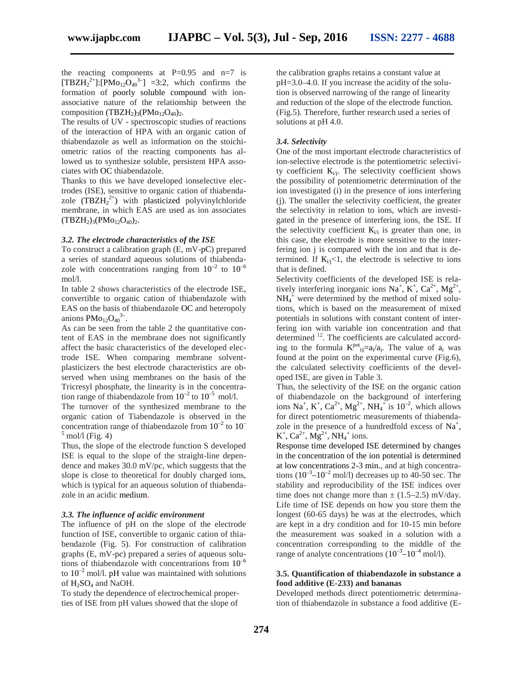the reacting components at  $P=0.95$  and  $n=7$  is  $[TBZH<sub>2</sub><sup>2+</sup>]:$  $2^{2+}$ ]:  $\left[1\right]$   $\left[1\right]$   $40^{3-}$ ] =3:2, which confirms the formation of poorly soluble compound with ion associative nature of the relationship between the composition  $(TBZH<sub>2</sub>)<sub>3</sub>(12.40)<sub>2</sub>.$ 

The results of UV - spectroscopic studies of reactions of the interaction of HPA with an organic cation of thiabendazole as well as information on the stoichiometric ratios of the reacting components has allowed us to synthesize soluble, persistent HPA associates with O thiabendazole.

Thanks to this we have developed ionselective electrodes (ISE), sensitive to organic cation of thiabendazole  $(TBZH_2^{2+})$  with plasticized polyvinylchloride membrane, in which EAS are used as ion associates  $(TBZH<sub>2</sub>)<sub>3</sub>(Mo<sub>12</sub>O<sub>40</sub>)<sub>2</sub>.$ 

#### *3.2. The electrode characteristics of the ISE*

To construct a calibration graph  $(E, mV-)$  prepared a series of standard aqueous solutions of thiabendazole with concentrations ranging from  $10^{-2}$  to  $10^{-6}$ mol/l.

In table 2 shows characteristics of the electrode ISE, convertible to organic cation of thiabendazole with EAS on the basis of thiabendazole O and heteropoly anions  $PMo_{12}O_{40}^{3-}$ .

As can be seen from the table 2 the quantitative content of EAS in the membrane does not significantly affect the basic characteristics of the developed electrode ISE. When comparing membrane solvent plasticizers the best electrode characteristics are observed when using membranes on the basis of the Tricresyl phosphate, the linearity is in the concentration range of thiabendazole from  $10^{-2}$  to  $10^{-5}$  mol/l.

The turnover of the synthesized membrane to the organic cation of Tiabendazole is observed in the concentration range of thiabendazole from  $10^{-2}$  to  $10^{-1}$  $<sup>5</sup>$  mol/l (Fig. 4)</sup>

Thus, the slope of the electrode function S developed ISE is equal to the slope of the straight-line dependence and makes 30.0 mV/p*c*, which suggests that the slope is close to theoretical for doubly charged ions, which is typical for an aqueous solution of thiabendazole in an acidic medium.

#### *3.3. The influence of acidic environment*

The influence of pH on the slope of the electrode function of ISE, convertible to organic cation of thiabendazole (Fig. 5). For construction of calibration graphs (E, mV-p*c*) prepared a series of aqueous solutions of thiabendazole with concentrations from  $10^{-6}$ to  $10^{-2}$  mol/l. pH value was maintained with solutions of H<sub>2</sub>SO<sub>4</sub> and NaOH.

To study the dependence of electrochemical properties of ISE from pH values showed that the slope of

the calibration graphs retains a constant value at pH=3.0–4.0. If you increase the acidity of the solution is observed narrowing of the range of linearity and reduction of the slope of the electrode function. (Fig.5). Therefore, further research used a series of solutions at pH 4.0.

#### *3.4. Selectivity*

One of the most important electrode characteristics of ion-selective electrode is the potentiometric selectivity coefficient  $\dot{v}$ . The selectivity coefficient shows the possibility of potentiometric determination of the ion investigated (i) in the presence of ions interfering (j). The smaller the selectivity coefficient, the greater the selectivity in relation to ions, which are investigated in the presence of interfering ions, the ISE. If the selectivity coefficient  $\dot{v}_i$  is greater than one, in this case, the electrode is more sensitive to the interfering ion j is compared with the ion and that is determined. If  $_{i/1}$   $\lt$ 1, the electrode is selective to ions that is defined.

Selectivity coefficients of the developed ISE is relatively interfering inorganic ions  $Na^+$ ,  $K^+$ ,  $Ca^{2+}$ ,  $Mg^{2+}$ ,  $NH<sub>4</sub><sup>+</sup>$  were determined by the method of mixed solutions, which is based on the measurement of mixed potentials in solutions with constant content of interfering ion with variable ion concentration and that determined <sup>12</sup>. The coefficients are calculated according to the formula  $K^{pot}_{ij} = /$  i. The value of was found at the point on the experimental curve (Fig.6), the calculated selectivity coefficients of the developed ISE, are given in Table 3.

Thus, the selectivity of the ISE on the organic cation of thiabendazole on the background of interfering ions Na<sup>+</sup>, K<sup>+</sup>, Ca<sup>2+</sup>, Mg<sup>2+</sup>, NH<sub>4</sub><sup>+</sup> is 10<sup>-2</sup>, which allows for direct potentiometric measurements of thiabendazole in the presence of a hundredfold excess of  $Na<sup>+</sup>$ ,  $K^+$ ,  $Ca^{2+}$ ,  $Mg^{2+}$ ,  $NH_4^+$  ions.

Response time developed ISE determined by changes in the concentration of the ion potential is determined at low concentrations 2-3 min., and at high concentrations  $(10^{-3}$ – $10^{-2}$  mol/l) decreases up to 40-50 sec. The stability and reproducibility of the ISE indices over time does not change more than  $\pm$  (1.5–2.5) mV/day. Life time of ISE depends on how you store them the longest (60-65 days) he was at the electrodes, which are kept in a dry condition and for 10-15 min before the measurement was soaked in a solution with a concentration corresponding to the middle of the range of analyte concentrations  $(10^{-3} - 10^{-4} \text{ mol/l}).$ 

# **3.5. Quantification of thiabendazole in substance a food additive (E-233) and bananas**

Developed methods direct potentiometric determination of thiabendazole in substance a food additive (E-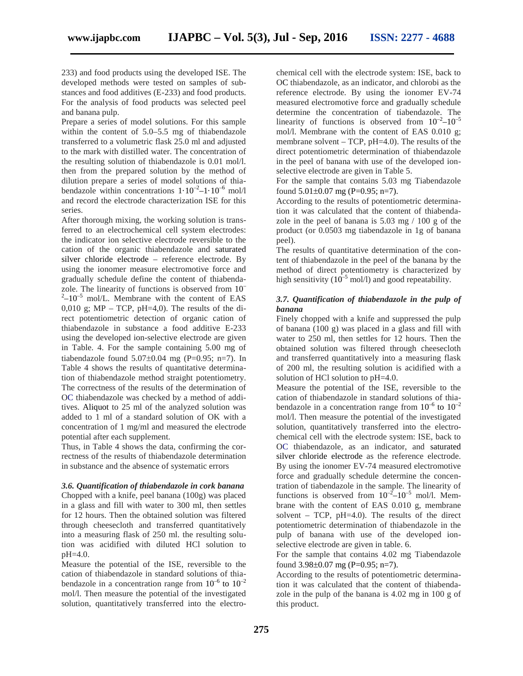233) and food products using the developed ISE. The developed methods were tested on samples of substances and food additives (E-233) and food products. For the analysis of food products was selected peel and banana pulp.

Prepare a series of model solutions. For this sample within the content of 5.0–5.5 mg of thiabendazole transferred to a volumetric flask 25.0 ml and adjusted to the mark with distilled water. The concentration of the resulting solution of thiabendazole is 0.01 mol/l. then from the prepared solution by the method of dilution prepare a series of model solutions of thiabendazole within concentrations  $1 \cdot 10^{-2} - 1 \cdot 10^{-6}$  mol/l and record the electrode characterization ISE for this series.

After thorough mixing, the working solution is transferred to an electrochemical cell system electrodes: the indicator ion selective electrode reversible to the cation of the organic thiabendazole and saturated silver chloride electrode – reference electrode. By using the ionomer measure electromotive force and gradually schedule define the content of thiabendazole. The linearity of functions is observed from 10–  $2-10^{-5}$  mol/L. Membrane with the content of EAS 0,010 g;  $MP - TCP$ ,  $pH=4,0$ ). The results of the direct potentiometric detection of organic cation of thiabendazole in substance a food additive E-233 using the developed ion-selective electrode are given in Table. 4. For the sample containing 5.00 mg of tiabendazole found  $5.07\pm0.04$  mg (P=0.95; n=7). In Table 4 shows the results of quantitative determination of thiabendazole method straight potentiometry. The correctness of the results of the determination of OC thiabendazole was checked by a method of additives. Aliquot to 25 ml of the analyzed solution was added to 1 ml of a standard solution of OK with a concentration of 1 mg/ml and measured the electrode potential after each supplement.

Thus, in Table 4 shows the data, confirming the correctness of the results of thiabendazole determination in substance and the absence of systematic errors

#### *3.6. Quantification of thiabendazole in cork banana*

Chopped with a knife, peel banana (100g) was placed in a glass and fill with water to 300 ml, then settles for 12 hours. Then the obtained solution was filtered through cheesecloth and transferred quantitatively into a measuring flask of 250 ml. the resulting solution was acidified with diluted HCl solution to pH=4.0.

Measure the potential of the ISE, reversible to the cation of thiabendazole in standard solutions of thiabendazole in a concentration range from  $10^{-6}$  to  $10^{-2}$ mol/l. Then measure the potential of the investigated solution, quantitatively transferred into the electrochemical cell with the electrode system: ISE, back to OC thiabendazole, as an indicator, and chlorobi as the reference electrode. By using the ionomer EV-74 measured electromotive force and gradually schedule determine the concentration of tiabendazole. The linearity of functions is observed from  $10^{-2}$ – $10^{-5}$ mol/l. Membrane with the content of EAS 0.010 g; membrane solvent – TCP, pH=4.0). The results of the direct potentiometric determination of thiabendazole in the peel of banana with use of the developed ion selective electrode are given in Table 5.

For the sample that contains 5.03 mg Tiabendazole found  $5.01\pm0.07$  mg (P=0.95; n=7).

According to the results of potentiometric determination it was calculated that the content of thiabendazole in the peel of banana is 5.03 mg / 100 g of the product (or 0.0503 mg tiabendazole in 1g of banana peel).

The results of quantitative determination of the content of thiabendazole in the peel of the banana by the method of direct potentiometry is characterized by high sensitivity  $(10^{-5} \text{ mol/l})$  and good repeatability.

## *3.7. Quantification of thiabendazole in the pulp of banana*

Finely chopped with a knife and suppressed the pulp of banana (100 g) was placed in a glass and fill with water to 250 ml, then settles for 12 hours. Then the obtained solution was filtered through cheesecloth and transferred quantitatively into a measuring flask of 200 ml, the resulting solution is acidified with a solution of HCl solution to pH=4.0.

Measure the potential of the ISE, reversible to the cation of thiabendazole in standard solutions of thiabendazole in a concentration range from  $10^{-6}$  to  $10^{-2}$ mol/l. Then measure the potential of the investigated solution, quantitatively transferred into the electrochemical cell with the electrode system: ISE, back to OC thiabendazole, as an indicator, and saturated silver chloride electrode as the reference electrode. By using the ionomer EV-74 measured electromotive force and gradually schedule determine the concentration of tiabendazole in the sample. The linearity of functions is observed from  $10^{-2}$ – $10^{-5}$  mol/l. Membrane with the content of EAS 0.010 g, membrane solvent – TCP, pH=4.0). The results of the direct potentiometric determination of thiabendazole in the pulp of banana with use of the developed ion selective electrode are given in table. 6.

For the sample that contains 4.02 mg Tiabendazole found  $3.98\pm0.07$  mg (P=0.95; n=7).

According to the results of potentiometric determination it was calculated that the content of thiabendazole in the pulp of the banana is 4.02 mg in 100 g of this product.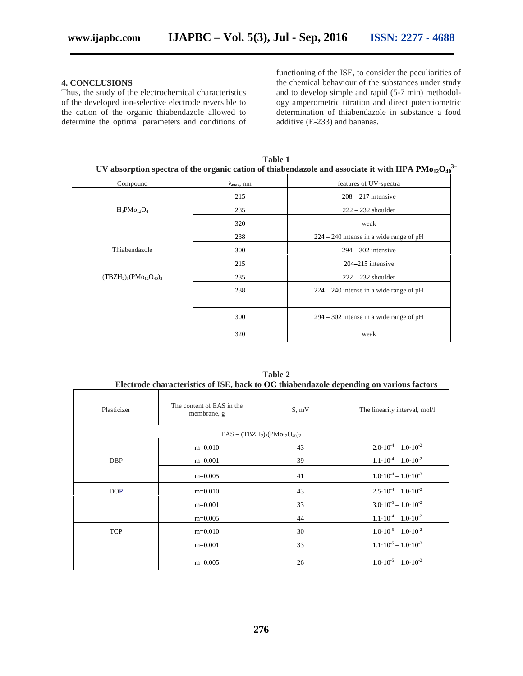# **4. CONCLUSIONS**

Thus, the study of the electrochemical characteristics of the developed ion-selective electrode reversible to the cation of the organic thiabendazole allowed to determine the optimal parameters and conditions of functioning of the ISE, to consider the peculiarities of the chemical behaviour of the substances under study and to develop simple and rapid (5-7 min) methodology amperometric titration and direct potentiometric determination of thiabendazole in substance a food additive (E-233) and bananas.

| <b>Table 1</b><br>$3-$<br>UV absorption spectra of the organic cation of thiabendazole and associate it with HPA<br>12<br>40 |                      |                                           |  |
|------------------------------------------------------------------------------------------------------------------------------|----------------------|-------------------------------------------|--|
| Compound                                                                                                                     | $_{\text{max}}$ , nm | features of UV-spectra                    |  |
|                                                                                                                              | 215                  | $208 - 217$ intensive                     |  |
| 12 4<br>$\overline{3}$                                                                                                       | 235                  | $222 - 232$ shoulder                      |  |
|                                                                                                                              | 320                  | weak                                      |  |
|                                                                                                                              | 238                  | $224 - 240$ intense in a wide range of pH |  |
| Thiabendazole                                                                                                                | 300                  | $294 - 302$ intensive                     |  |
|                                                                                                                              | 215                  | $204 - 215$ intensive                     |  |
| $(TBZH2)3(Mo12O40)2$                                                                                                         | 235                  | $222 - 232$ shoulder                      |  |
|                                                                                                                              | 238                  | $224 - 240$ intense in a wide range of pH |  |
|                                                                                                                              | 300                  | $294 - 302$ intense in a wide range of pH |  |
|                                                                                                                              | 320                  | weak                                      |  |

**Table 2 Electrode characteristics of ISE, back to O thiabendazole depending on various factors**

|                                          |                                          |       | meen oue enuracteristics of home such to O anuschausele uepending on various necess |  |
|------------------------------------------|------------------------------------------|-------|-------------------------------------------------------------------------------------|--|
| Plasticizer                              | The content of EAS in the<br>membrane, g | S, mV | The linearity interval, mol/l                                                       |  |
| $EAS - (TBZ_{2})_{3}$<br>$12 \quad 40)2$ |                                          |       |                                                                                     |  |
|                                          | $m=0.010$                                | 43    | $2.0 \cdot 10^{-4} - 1.0 \cdot 10^{-2}$                                             |  |
| <b>DBP</b>                               | $m=0.001$                                | 39    | $1.1 \cdot 10^{-4} - 1.0 \cdot 10^{-2}$                                             |  |
|                                          | $m=0.005$                                | 41    | $1.0 \cdot 10^{-4} - 1.0 \cdot 10^{-2}$                                             |  |
| <b>DOP</b>                               | $m=0.010$                                | 43    | $2.5 \cdot 10^{-4} - 1.0 \cdot 10^{-2}$                                             |  |
|                                          | $m=0.001$                                | 33    | $3.0 \cdot 10^{-5} - 1.0 \cdot 10^{-2}$                                             |  |
|                                          | $m=0.005$                                | 44    | $1.1 \cdot 10^{-4} - 1.0 \cdot 10^{-2}$                                             |  |
| T P                                      | $m=0.010$                                | 30    | $1.0 \cdot 10^{-5} - 1.0 \cdot 10^{-2}$                                             |  |
|                                          | $m=0.001$                                | 33    | $1.1 \cdot 10^{-5} - 1.0 \cdot 10^{-2}$                                             |  |
|                                          | $m=0.005$                                | 26    | $1.0 \cdot 10^{-5} - 1.0 \cdot 10^{-2}$                                             |  |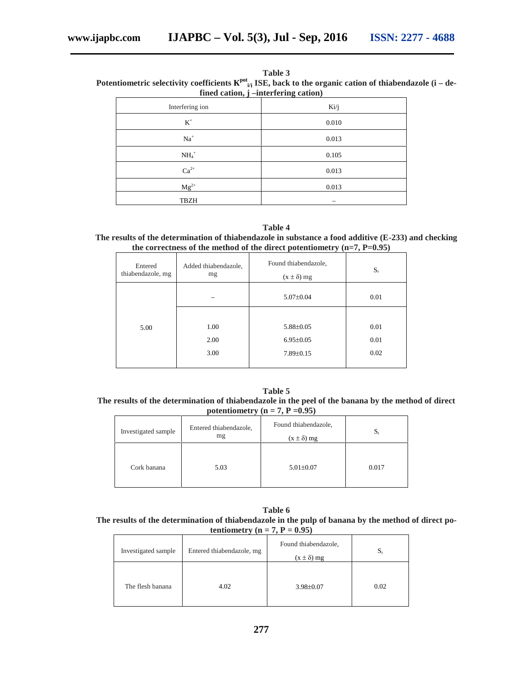| Table 3                                                                                                          |
|------------------------------------------------------------------------------------------------------------------|
| Potentiometric selectivity coefficients $P_{ij}^{tot}$ ISE, back to the organic cation of thiabendazole (i – de- |
| fined cation, <i>i</i> –interfering cation)                                                                      |

| $\sim$            | . .   |
|-------------------|-------|
| Interfering ion   | Ki/j  |
| $K^+$             | 0.010 |
| $Na+$             | 0.013 |
| $\mathrm{NH_4}^+$ | 0.105 |
| $2+$              | 0.013 |
| $\rm Mg^{2+}$     | 0.013 |
| <b>TBZH</b>       |       |

#### **Table 4**

**The results of the determination of thiabendazole in substance a food additive (E-233) and checking the correctness of the method of the direct potentiometry (n=7, P=0.95)**

| Entered           | Added thiabendazole, | Found thiabendazole, | $S_r$ |
|-------------------|----------------------|----------------------|-------|
| thiabendazole, mg | mg                   | $\pm \delta$ ) mg    |       |
|                   |                      | $5.07 \pm 0.04$      | 0.01  |
| 5.00              | 1.00                 | $5.88 \pm 0.05$      | 0.01  |
|                   | 2.00                 | $6.95 \pm 0.05$      | 0.01  |
|                   | 3.00                 | $7.89 \pm 0.15$      | 0.02  |

**Table 5 The results of the determination of thiabendazole in the peel of the banana by the method of direct potentiometry (n = 7, P =0.95)**

| Investigated sample | Entered thiabendazole,<br>mg | Found thiabendazole,<br>$\pm \delta$ ) mg | $S_{r}$ |
|---------------------|------------------------------|-------------------------------------------|---------|
| Cork banana         | 5.03                         | $5.01 \pm 0.07$                           | 0.017   |

**Table 6 The results of the determination of thiabendazole in the pulp of banana by the method of direct potentiometry**  $(n = 7, P = 0.95)$ 

| Investigated sample | Entered thiabendazole, mg | Found thiabendazole,<br>$\pm$ $\delta$ ) mg | $S_r$ |
|---------------------|---------------------------|---------------------------------------------|-------|
| The flesh banana    | 4.02                      | $3.98 \pm 0.07$                             | 0.02  |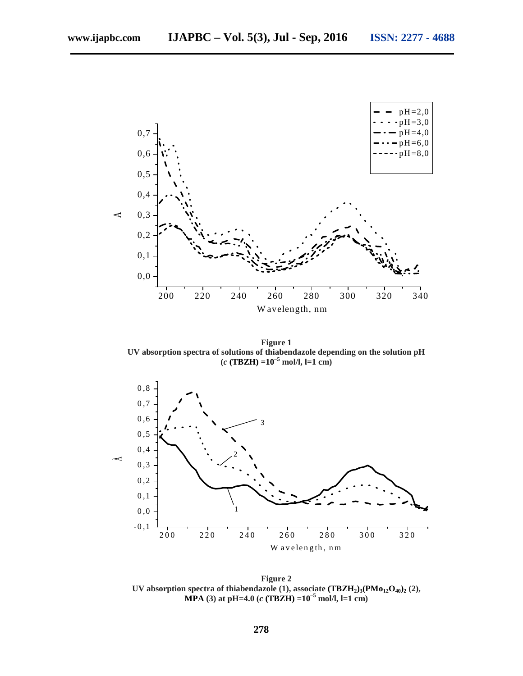

**Figure 1 UV absorption spectra of solutions of thiabendazole depending on the solution pH**



**Figure 2 UV** absorption spectra of thiabendazole (1), associate  $(TBZH_2)_3$   $(Mo_{12}O_{40})_2$  (2), **MPA (3) at pH=4.0 ( (TBZH) =10–<sup>5</sup> mol/l, l=1 cm)**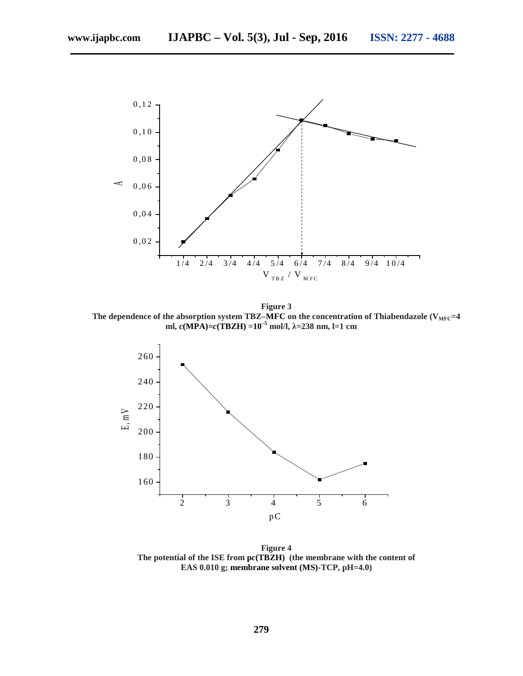

**Figure 3** The dependence of the absorption system TBZ–MFC on the concentration of Thiabendazole (V<sub>MFC</sub>=4 **ml, (MPA)= (TBZH) =10–<sup>5</sup> mol/l, =238 nm, l=1 cm**



**Figure 4 The potential of the ISE from p (TBZH) (the membrane with the content of EAS 0.010 g; membrane solvent (MS)-TCP, pH=4.0)**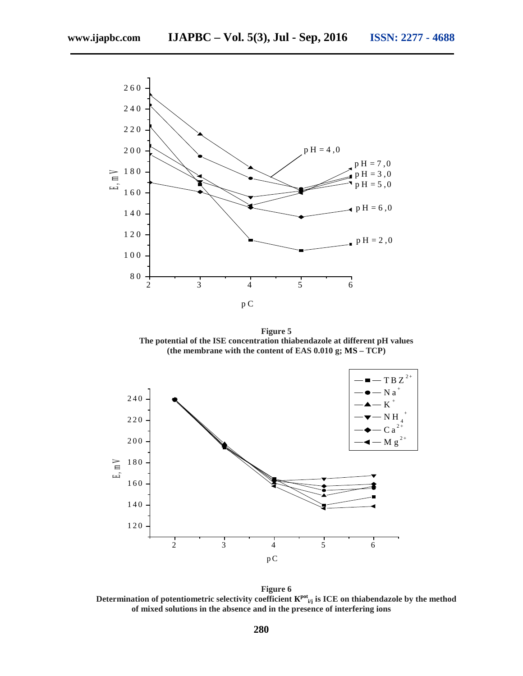

**Figure 5 The potential of the ISE concentration thiabendazole at different pH values (the membrane with the content of EAS 0.010 g; MS – TCP)**



**Figure 6** Determination of potentiometric selectivity coefficient  $\frac{pot}{i/j}$  is ICE on thiabendazole by the method **of mixed solutions in the absence and in the presence of interfering ions**